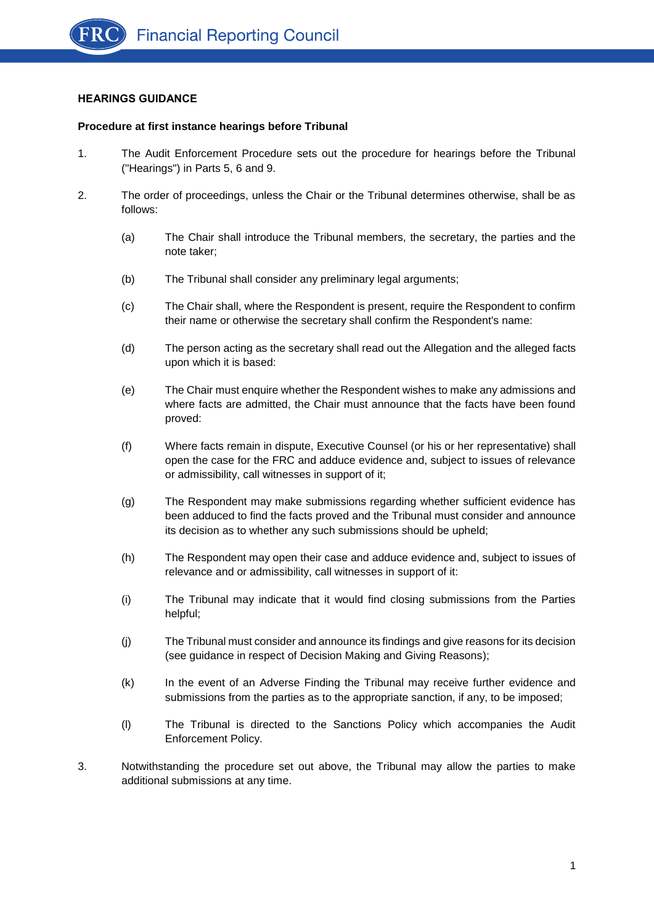# **HEARINGS GUIDANCE**

#### **Procedure at first instance hearings before Tribunal**

- 1. The Audit Enforcement Procedure sets out the procedure for hearings before the Tribunal ("Hearings") in Parts 5, 6 and 9.
- 2. The order of proceedings, unless the Chair or the Tribunal determines otherwise, shall be as follows:
	- (a) The Chair shall introduce the Tribunal members, the secretary, the parties and the note taker;
	- (b) The Tribunal shall consider any preliminary legal arguments;
	- (c) The Chair shall, where the Respondent is present, require the Respondent to confirm their name or otherwise the secretary shall confirm the Respondent's name:
	- (d) The person acting as the secretary shall read out the Allegation and the alleged facts upon which it is based:
	- (e) The Chair must enquire whether the Respondent wishes to make any admissions and where facts are admitted, the Chair must announce that the facts have been found proved:
	- (f) Where facts remain in dispute, Executive Counsel (or his or her representative) shall open the case for the FRC and adduce evidence and, subject to issues of relevance or admissibility, call witnesses in support of it;
	- (g) The Respondent may make submissions regarding whether sufficient evidence has been adduced to find the facts proved and the Tribunal must consider and announce its decision as to whether any such submissions should be upheld;
	- (h) The Respondent may open their case and adduce evidence and, subject to issues of relevance and or admissibility, call witnesses in support of it:
	- (i) The Tribunal may indicate that it would find closing submissions from the Parties helpful;
	- (j) The Tribunal must consider and announce its findings and give reasons for its decision (see guidance in respect of Decision Making and Giving Reasons);
	- (k) In the event of an Adverse Finding the Tribunal may receive further evidence and submissions from the parties as to the appropriate sanction, if any, to be imposed;
	- (l) The Tribunal is directed to the Sanctions Policy which accompanies the Audit Enforcement Policy.
- 3. Notwithstanding the procedure set out above, the Tribunal may allow the parties to make additional submissions at any time.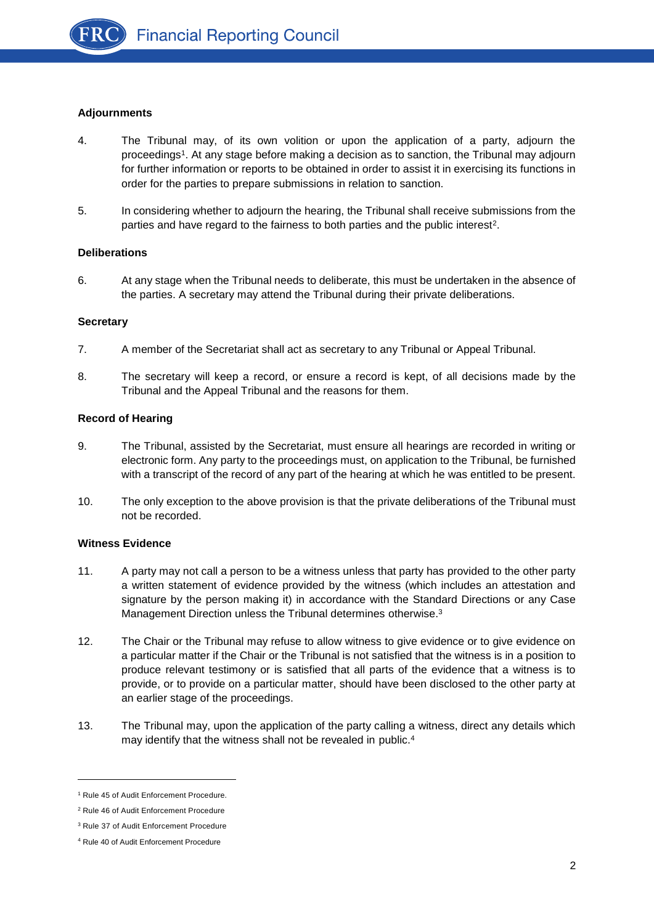

# **Adjournments**

- 4. The Tribunal may, of its own volition or upon the application of a party, adjourn the proceedings<sup>1</sup>. At any stage before making a decision as to sanction, the Tribunal may adjourn for further information or reports to be obtained in order to assist it in exercising its functions in order for the parties to prepare submissions in relation to sanction.
- 5. In considering whether to adjourn the hearing, the Tribunal shall receive submissions from the parties and have regard to the fairness to both parties and the public interest<sup>2</sup>.

### **Deliberations**

6. At any stage when the Tribunal needs to deliberate, this must be undertaken in the absence of the parties. A secretary may attend the Tribunal during their private deliberations.

### **Secretary**

- 7. A member of the Secretariat shall act as secretary to any Tribunal or Appeal Tribunal.
- 8. The secretary will keep a record, or ensure a record is kept, of all decisions made by the Tribunal and the Appeal Tribunal and the reasons for them.

### **Record of Hearing**

- 9. The Tribunal, assisted by the Secretariat, must ensure all hearings are recorded in writing or electronic form. Any party to the proceedings must, on application to the Tribunal, be furnished with a transcript of the record of any part of the hearing at which he was entitled to be present.
- 10. The only exception to the above provision is that the private deliberations of the Tribunal must not be recorded.

#### **Witness Evidence**

- 11. A party may not call a person to be a witness unless that party has provided to the other party a written statement of evidence provided by the witness (which includes an attestation and signature by the person making it) in accordance with the Standard Directions or any Case Management Direction unless the Tribunal determines otherwise.<sup>3</sup>
- 12. The Chair or the Tribunal may refuse to allow witness to give evidence or to give evidence on a particular matter if the Chair or the Tribunal is not satisfied that the witness is in a position to produce relevant testimony or is satisfied that all parts of the evidence that a witness is to provide, or to provide on a particular matter, should have been disclosed to the other party at an earlier stage of the proceedings.
- 13. The Tribunal may, upon the application of the party calling a witness, direct any details which may identify that the witness shall not be revealed in public.<sup>4</sup>

<sup>&</sup>lt;sup>1</sup> Rule 45 of Audit Enforcement Procedure.

<sup>2</sup> Rule 46 of Audit Enforcement Procedure

<sup>3</sup> Rule 37 of Audit Enforcement Procedure

<sup>4</sup> Rule 40 of Audit Enforcement Procedure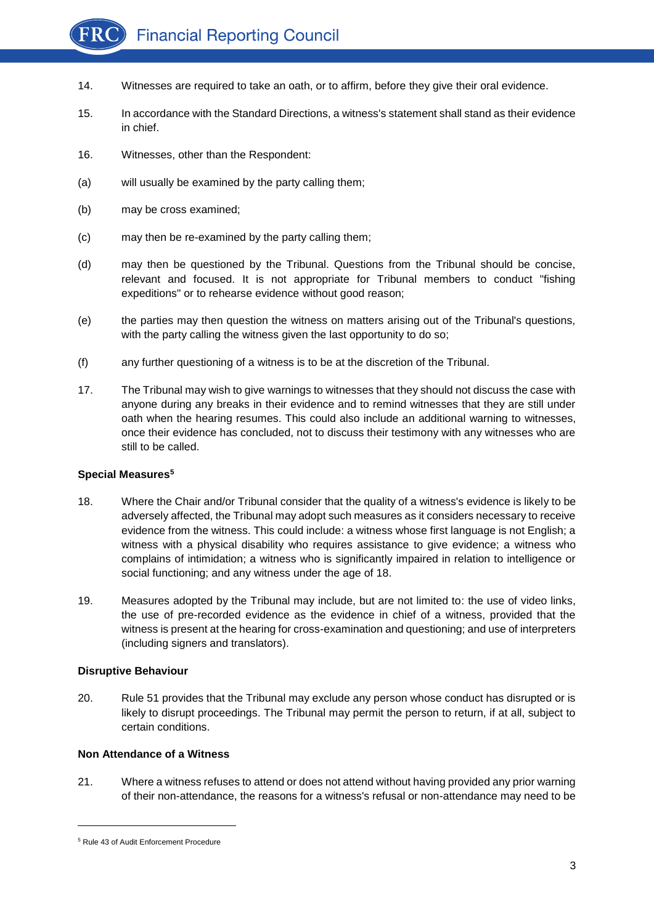

- 14. Witnesses are required to take an oath, or to affirm, before they give their oral evidence.
- 15. In accordance with the Standard Directions, a witness's statement shall stand as their evidence in chief.
- 16. Witnesses, other than the Respondent:
- (a) will usually be examined by the party calling them;
- (b) may be cross examined;
- (c) may then be re-examined by the party calling them;
- (d) may then be questioned by the Tribunal. Questions from the Tribunal should be concise, relevant and focused. It is not appropriate for Tribunal members to conduct "fishing expeditions" or to rehearse evidence without good reason;
- (e) the parties may then question the witness on matters arising out of the Tribunal's questions, with the party calling the witness given the last opportunity to do so;
- (f) any further questioning of a witness is to be at the discretion of the Tribunal.
- 17. The Tribunal may wish to give warnings to witnesses that they should not discuss the case with anyone during any breaks in their evidence and to remind witnesses that they are still under oath when the hearing resumes. This could also include an additional warning to witnesses, once their evidence has concluded, not to discuss their testimony with any witnesses who are still to be called.

#### **Special Measures<sup>5</sup>**

- 18. Where the Chair and/or Tribunal consider that the quality of a witness's evidence is likely to be adversely affected, the Tribunal may adopt such measures as it considers necessary to receive evidence from the witness. This could include: a witness whose first language is not English; a witness with a physical disability who requires assistance to give evidence; a witness who complains of intimidation; a witness who is significantly impaired in relation to intelligence or social functioning; and any witness under the age of 18.
- 19. Measures adopted by the Tribunal may include, but are not limited to: the use of video links, the use of pre-recorded evidence as the evidence in chief of a witness, provided that the witness is present at the hearing for cross-examination and questioning; and use of interpreters (including signers and translators).

#### **Disruptive Behaviour**

20. Rule 51 provides that the Tribunal may exclude any person whose conduct has disrupted or is likely to disrupt proceedings. The Tribunal may permit the person to return, if at all, subject to certain conditions.

#### **Non Attendance of a Witness**

21. Where a witness refuses to attend or does not attend without having provided any prior warning of their non-attendance, the reasons for a witness's refusal or non-attendance may need to be

<sup>5</sup> Rule 43 of Audit Enforcement Procedure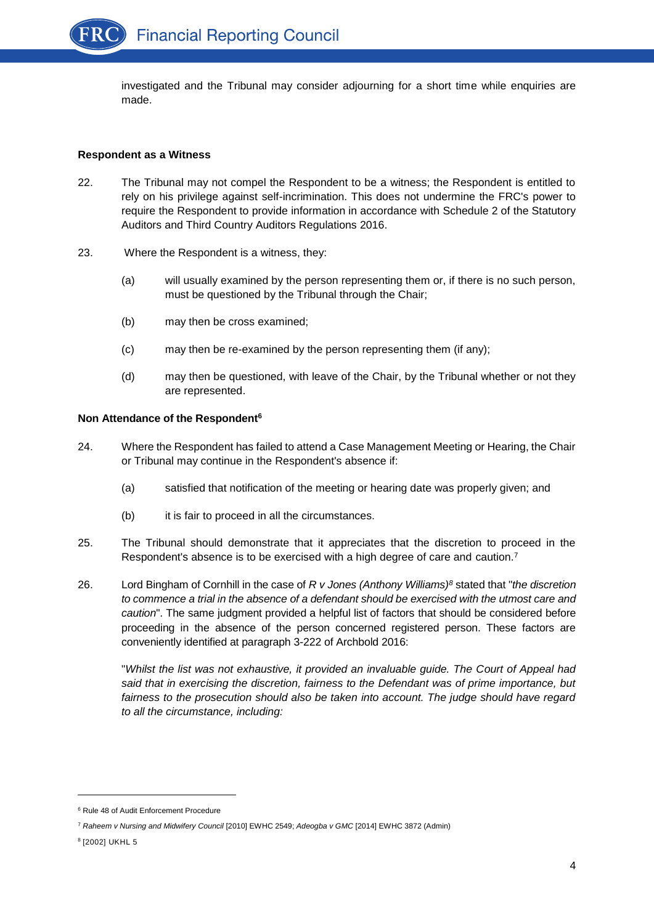investigated and the Tribunal may consider adjourning for a short time while enquiries are made.

#### **Respondent as a Witness**

- 22. The Tribunal may not compel the Respondent to be a witness; the Respondent is entitled to rely on his privilege against self-incrimination. This does not undermine the FRC's power to require the Respondent to provide information in accordance with Schedule 2 of the Statutory Auditors and Third Country Auditors Regulations 2016.
- 23. Where the Respondent is a witness, they:
	- (a) will usually examined by the person representing them or, if there is no such person, must be questioned by the Tribunal through the Chair;
	- (b) may then be cross examined;
	- (c) may then be re-examined by the person representing them (if any);
	- (d) may then be questioned, with leave of the Chair, by the Tribunal whether or not they are represented.

### **Non Attendance of the Respondent<sup>6</sup>**

- 24. Where the Respondent has failed to attend a Case Management Meeting or Hearing, the Chair or Tribunal may continue in the Respondent's absence if:
	- (a) satisfied that notification of the meeting or hearing date was properly given; and
	- (b) it is fair to proceed in all the circumstances.
- 25. The Tribunal should demonstrate that it appreciates that the discretion to proceed in the Respondent's absence is to be exercised with a high degree of care and caution.<sup>7</sup>
- 26. Lord Bingham of Cornhill in the case of *R v Jones (Anthony Williams)<sup>8</sup>* stated that "*the discretion to commence a trial in the absence of a defendant should be exercised with the utmost care and caution*". The same judgment provided a helpful list of factors that should be considered before proceeding in the absence of the person concerned registered person. These factors are conveniently identified at paragraph 3-222 of Archbold 2016:

"*Whilst the list was not exhaustive, it provided an invaluable guide. The Court of Appeal had said that in exercising the discretion, fairness to the Defendant was of prime importance, but*  fairness to the prosecution should also be taken into account. The judge should have regard *to all the circumstance, including:*

<sup>6</sup> Rule 48 of Audit Enforcement Procedure

<sup>7</sup> *Raheem v Nursing and Midwifery Council* [2010] EWHC 2549; *Adeogba v GMC* [2014] EWHC 3872 (Admin)

<sup>8</sup> [2002] UKHL 5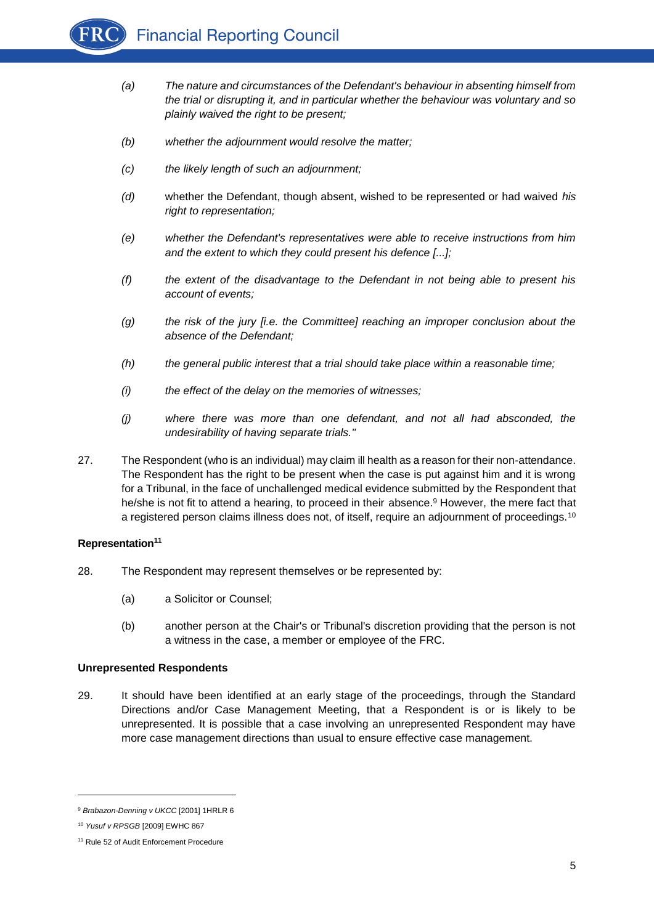

- *(a) The nature and circumstances of the Defendant's behaviour in absenting himself from the trial or disrupting it, and in particular whether the behaviour was voluntary and so plainly waived the right to be present;*
- *(b) whether the adjournment would resolve the matter;*
- *(c) the likely length of such an adjournment;*
- *(d)* whether the Defendant, though absent, wished to be represented or had waived *his right to representation;*
- *(e) whether the Defendant's representatives were able to receive instructions from him and the extent to which they could present his defence [...];*
- *(f) the extent of the disadvantage to the Defendant in not being able to present his account of events;*
- *(g) the risk of the jury [i.e. the Committee] reaching an improper conclusion about the absence of the Defendant;*
- *(h) the general public interest that a trial should take place within a reasonable time;*
- *(i) the effect of the delay on the memories of witnesses;*
- *(j) where there was more than one defendant, and not all had absconded, the undesirability of having separate trials."*
- 27. The Respondent (who is an individual) may claim ill health as a reason for their non-attendance. The Respondent has the right to be present when the case is put against him and it is wrong for a Tribunal, in the face of unchallenged medical evidence submitted by the Respondent that he/she is not fit to attend a hearing, to proceed in their absence.<sup>9</sup> However, the mere fact that a registered person claims illness does not, of itself, require an adjournment of proceedings.<sup>10</sup>

#### **Representation<sup>11</sup>**

- 28. The Respondent may represent themselves or be represented by:
	- (a) a Solicitor or Counsel;
	- (b) another person at the Chair's or Tribunal's discretion providing that the person is not a witness in the case, a member or employee of the FRC.

#### **Unrepresented Respondents**

29. It should have been identified at an early stage of the proceedings, through the Standard Directions and/or Case Management Meeting, that a Respondent is or is likely to be unrepresented. It is possible that a case involving an unrepresented Respondent may have more case management directions than usual to ensure effective case management.

<sup>9</sup> *Brabazon-Denning v UKCC* [2001] 1HRLR 6

<sup>10</sup> *Yusuf v RPSGB* [2009] EWHC 867

<sup>&</sup>lt;sup>11</sup> Rule 52 of Audit Enforcement Procedure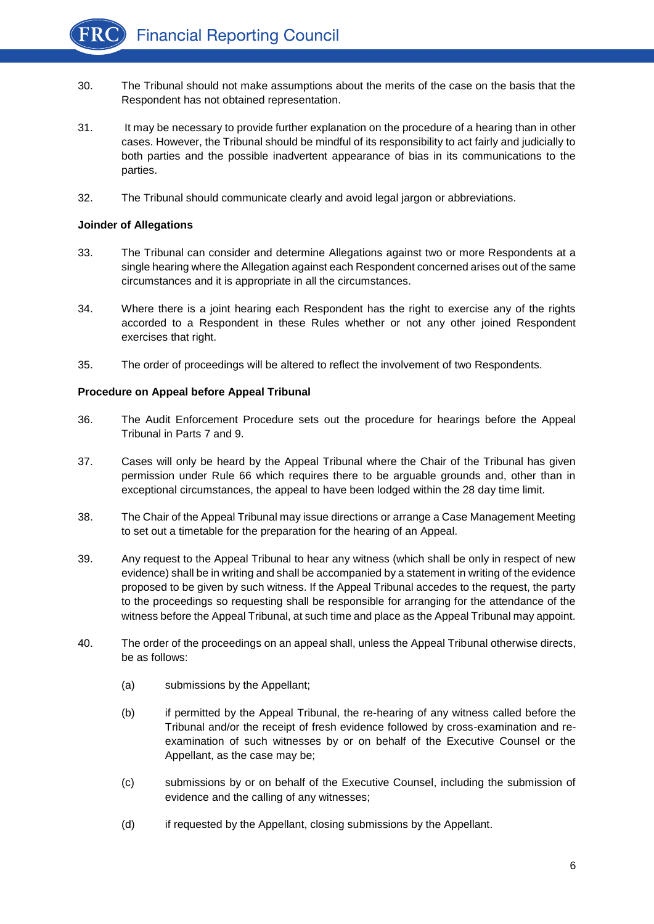- 30. The Tribunal should not make assumptions about the merits of the case on the basis that the Respondent has not obtained representation.
- 31. It may be necessary to provide further explanation on the procedure of a hearing than in other cases. However, the Tribunal should be mindful of its responsibility to act fairly and judicially to both parties and the possible inadvertent appearance of bias in its communications to the parties.
- 32. The Tribunal should communicate clearly and avoid legal jargon or abbreviations.

# **Joinder of Allegations**

- 33. The Tribunal can consider and determine Allegations against two or more Respondents at a single hearing where the Allegation against each Respondent concerned arises out of the same circumstances and it is appropriate in all the circumstances.
- 34. Where there is a joint hearing each Respondent has the right to exercise any of the rights accorded to a Respondent in these Rules whether or not any other joined Respondent exercises that right.
- 35. The order of proceedings will be altered to reflect the involvement of two Respondents.

### **Procedure on Appeal before Appeal Tribunal**

- 36. The Audit Enforcement Procedure sets out the procedure for hearings before the Appeal Tribunal in Parts 7 and 9.
- 37. Cases will only be heard by the Appeal Tribunal where the Chair of the Tribunal has given permission under Rule 66 which requires there to be arguable grounds and, other than in exceptional circumstances, the appeal to have been lodged within the 28 day time limit.
- 38. The Chair of the Appeal Tribunal may issue directions or arrange a Case Management Meeting to set out a timetable for the preparation for the hearing of an Appeal.
- 39. Any request to the Appeal Tribunal to hear any witness (which shall be only in respect of new evidence) shall be in writing and shall be accompanied by a statement in writing of the evidence proposed to be given by such witness. If the Appeal Tribunal accedes to the request, the party to the proceedings so requesting shall be responsible for arranging for the attendance of the witness before the Appeal Tribunal, at such time and place as the Appeal Tribunal may appoint.
- 40. The order of the proceedings on an appeal shall, unless the Appeal Tribunal otherwise directs, be as follows:
	- (a) submissions by the Appellant;
	- (b) if permitted by the Appeal Tribunal, the re-hearing of any witness called before the Tribunal and/or the receipt of fresh evidence followed by cross-examination and reexamination of such witnesses by or on behalf of the Executive Counsel or the Appellant, as the case may be;
	- (c) submissions by or on behalf of the Executive Counsel, including the submission of evidence and the calling of any witnesses;
	- (d) if requested by the Appellant, closing submissions by the Appellant.